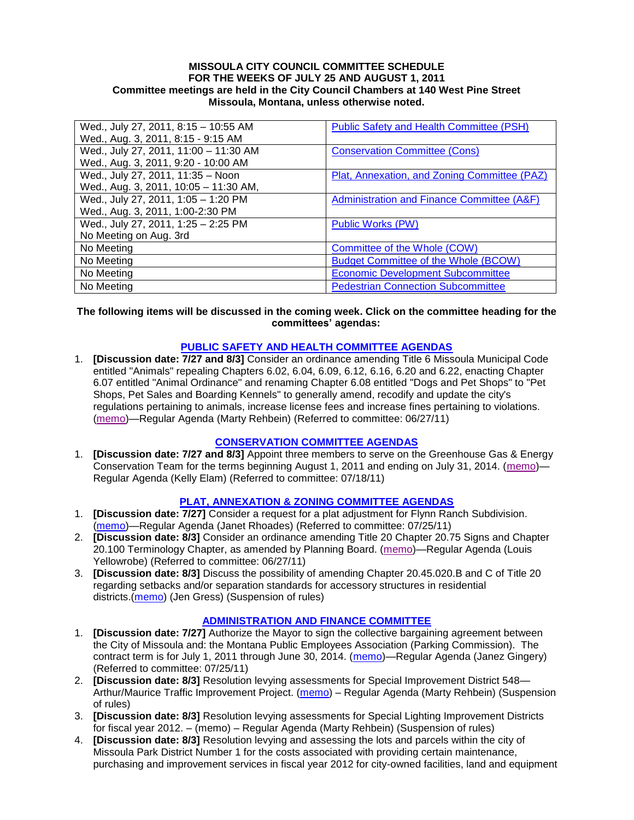#### **MISSOULA CITY COUNCIL COMMITTEE SCHEDULE FOR THE WEEKS OF JULY 25 AND AUGUST 1, 2011 Committee meetings are held in the City Council Chambers at 140 West Pine Street Missoula, Montana, unless otherwise noted.**

| Wed., July 27, 2011, 8:15 - 10:55 AM  | <b>Public Safety and Health Committee (PSH)</b> |
|---------------------------------------|-------------------------------------------------|
| Wed., Aug. 3, 2011, 8:15 - 9:15 AM    |                                                 |
| Wed., July 27, 2011, 11:00 - 11:30 AM | <b>Conservation Committee (Cons)</b>            |
| Wed., Aug. 3, 2011, 9:20 - 10:00 AM   |                                                 |
| Wed., July 27, 2011, 11:35 - Noon     | Plat, Annexation, and Zoning Committee (PAZ)    |
| Wed., Aug. 3, 2011, 10:05 - 11:30 AM, |                                                 |
| Wed., July 27, 2011, 1:05 - 1:20 PM   | Administration and Finance Committee (A&F)      |
| Wed., Aug. 3, 2011, 1:00-2:30 PM      |                                                 |
| Wed., July 27, 2011, 1:25 - 2:25 PM   | Public Works (PW)                               |
| No Meeting on Aug. 3rd                |                                                 |
| No Meeting                            | Committee of the Whole (COW)                    |
| No Meeting                            | <b>Budget Committee of the Whole (BCOW)</b>     |
| No Meeting                            | <b>Economic Development Subcommittee</b>        |
| No Meeting                            | <b>Pedestrian Connection Subcommittee</b>       |

#### **The following items will be discussed in the coming week. Click on the committee heading for the committees' agendas:**

### **[PUBLIC SAFETY AND HEALTH COMMITTEE AGENDAS](http://www.ci.missoula.mt.us/DocumentCenterii.aspx?FID=836)**

1. **[Discussion date: 7/27 and 8/3]** Consider an ordinance amending Title 6 Missoula Municipal Code entitled "Animals" repealing Chapters 6.02, 6.04, 6.09, 6.12, 6.16, 6.20 and 6.22, enacting Chapter 6.07 entitled "Animal Ordinance" and renaming Chapter 6.08 entitled "Dogs and Pet Shops" to "Pet Shops, Pet Sales and Boarding Kennels" to generally amend, recodify and update the city's regulations pertaining to animals, increase license fees and increase fines pertaining to violations. [\(memo\)](http://www.ci.missoula.mt.us/DocumentView.aspx?DID=6698)—Regular Agenda (Marty Rehbein) (Referred to committee: 06/27/11)

### **[CONSERVATION COMMITTEE AGENDAS](http://www.ci.missoula.mt.us/DocumentCenterii.aspx?FID=832)**

1. **[Discussion date: 7/27 and 8/3]** Appoint three members to serve on the Greenhouse Gas & Energy Conservation Team for the terms beginning August 1, 2011 and ending on July 31, 2014. [\(memo\)](http://www.ci.missoula.mt.us/DocumentView.aspx?DID=6837)— Regular Agenda (Kelly Elam) (Referred to committee: 07/18/11)

### **[PLAT, ANNEXATION & ZONING COMMITTEE AGENDAS](http://www.ci.missoula.mt.us/DocumentCenterii.aspx?FID=831)**

- 1. **[Discussion date: 7/27]** Consider a request for a plat adjustment for Flynn Ranch Subdivision. [\(memo\)](http://www.ci.missoula.mt.us/DocumentView.aspx?DID=6919)—Regular Agenda (Janet Rhoades) (Referred to committee: 07/25/11)
- 2. **[Discussion date: 8/3]** Consider an ordinance amending Title 20 Chapter 20.75 Signs and Chapter 20.100 Terminology Chapter, as amended by Planning Board. [\(memo\)](http://www.ci.missoula.mt.us/DocumentView.aspx?DID=6725)—Regular Agenda (Louis Yellowrobe) (Referred to committee: 06/27/11)
- 3. **[Discussion date: 8/3]** Discuss the possibility of amending Chapter 20.45.020.B and C of Title 20 regarding setbacks and/or separation standards for accessory structures in residential districts.[\(memo\)](http://www.ci.missoula.mt.us/DocumentView.aspx?DID=6964) (Jen Gress) (Suspension of rules)

### **[ADMINISTRATION AND FINANCE COMMITTEE](http://www.ci.missoula.mt.us/DocumentCenterii.aspx?FID=830)**

- 1. **[Discussion date: 7/27]** Authorize the Mayor to sign the collective bargaining agreement between the City of Missoula and: the Montana Public Employees Association (Parking Commission). The contract term is for July 1, 2011 through June 30, 2014. [\(memo\)](http://www.ci.missoula.mt.us/DocumentView.aspx?DID=6920)—Regular Agenda (Janez Gingery) (Referred to committee: 07/25/11)
- 2. **[Discussion date: 8/3]** Resolution levying assessments for Special Improvement District 548— Arthur/Maurice Traffic Improvement Project. [\(memo\)](http://www.ci.missoula.mt.us/DocumentView.aspx?DID=6931) – Regular Agenda (Marty Rehbein) (Suspension of rules)
- 3. **[Discussion date: 8/3]** Resolution levying assessments for Special Lighting Improvement Districts for fiscal year 2012. – (memo) – Regular Agenda (Marty Rehbein) (Suspension of rules)
- 4. **[Discussion date: 8/3]** Resolution levying and assessing the lots and parcels within the city of Missoula Park District Number 1 for the costs associated with providing certain maintenance, purchasing and improvement services in fiscal year 2012 for city-owned facilities, land and equipment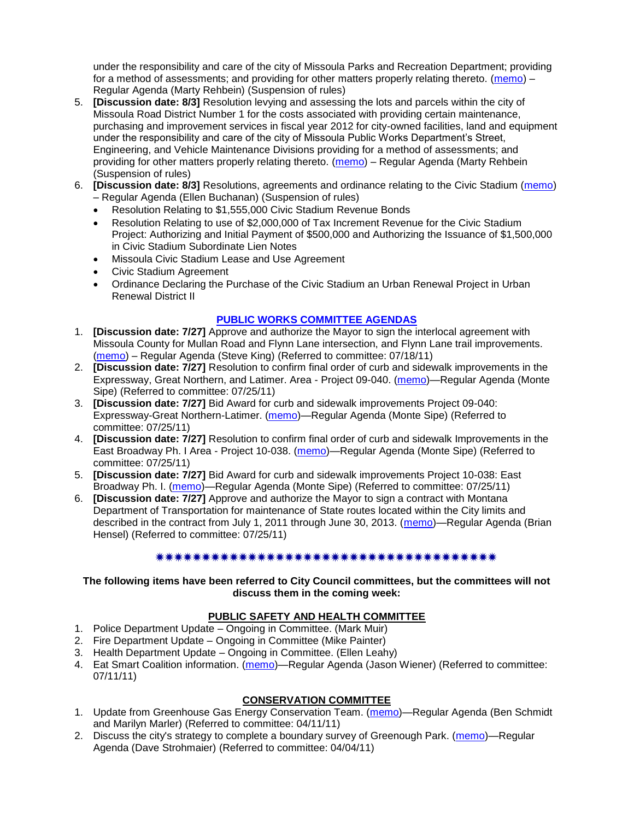under the responsibility and care of the city of Missoula Parks and Recreation Department; providing for a method of assessments; and providing for other matters properly relating thereto. [\(memo\)](http://www.ci.missoula.mt.us/DocumentView.aspx?DID=6965) – Regular Agenda (Marty Rehbein) (Suspension of rules)

- 5. **[Discussion date: 8/3]** Resolution levying and assessing the lots and parcels within the city of Missoula Road District Number 1 for the costs associated with providing certain maintenance, purchasing and improvement services in fiscal year 2012 for city-owned facilities, land and equipment under the responsibility and care of the city of Missoula Public Works Department's Street, Engineering, and Vehicle Maintenance Divisions providing for a method of assessments; and providing for other matters properly relating thereto. [\(memo\)](http://www.ci.missoula.mt.us/DocumentView.aspx?DID=6967) – Regular Agenda (Marty Rehbein (Suspension of rules)
- 6. **[Discussion date: 8/3]** Resolutions, agreements and ordinance relating to the Civic Stadium [\(memo\)](http://www.ci.missoula.mt.us/DocumentView.aspx?DID=6981) – Regular Agenda (Ellen Buchanan) (Suspension of rules)
	- Resolution Relating to \$1,555,000 Civic Stadium Revenue Bonds
	- Resolution Relating to use of \$2,000,000 of Tax Increment Revenue for the Civic Stadium Project: Authorizing and Initial Payment of \$500,000 and Authorizing the Issuance of \$1,500,000 in Civic Stadium Subordinate Lien Notes
	- Missoula Civic Stadium Lease and Use Agreement
	- Civic Stadium Agreement
	- Ordinance Declaring the Purchase of the Civic Stadium an Urban Renewal Project in Urban Renewal District II

### **[PUBLIC WORKS COMMITTEE AGENDAS](http://www.ci.missoula.mt.us/DocumentCenterii.aspx?FID=833)**

- 1. **[Discussion date: 7/27]** Approve and authorize the Mayor to sign the interlocal agreement with Missoula County for Mullan Road and Flynn Lane intersection, and Flynn Lane trail improvements. [\(memo\)](http://www.ci.missoula.mt.us/DocumentView.aspx?DID=6857) – Regular Agenda (Steve King) (Referred to committee: 07/18/11)
- 2. **[Discussion date: 7/27]** Resolution to confirm final order of curb and sidewalk improvements in the Expressway, Great Northern, and Latimer. Area - Project 09-040. [\(memo\)](http://www.ci.missoula.mt.us/DocumentView.aspx?DID=6921)—Regular Agenda (Monte Sipe) (Referred to committee: 07/25/11)
- 3. **[Discussion date: 7/27]** Bid Award for curb and sidewalk improvements Project 09-040: Expressway-Great Northern-Latimer. [\(memo\)](http://www.ci.missoula.mt.us/DocumentView.aspx?DID=6916)—Regular Agenda (Monte Sipe) (Referred to committee: 07/25/11)
- 4. **[Discussion date: 7/27]** Resolution to confirm final order of curb and sidewalk Improvements in the East Broadway Ph. I Area - Project 10-038. [\(memo\)](http://www.ci.missoula.mt.us/DocumentView.aspx?DID=6918)—Regular Agenda (Monte Sipe) (Referred to committee: 07/25/11)
- 5. **[Discussion date: 7/27]** Bid Award for curb and sidewalk improvements Project 10-038: East Broadway Ph. I. [\(memo\)](http://www.ci.missoula.mt.us/DocumentView.aspx?DID=6917)—Regular Agenda (Monte Sipe) (Referred to committee: 07/25/11)
- 6. **[Discussion date: 7/27]** Approve and authorize the Mayor to sign a contract with Montana Department of Transportation for maintenance of State routes located within the City limits and described in the contract from July 1, 2011 through June 30, 2013. [\(memo\)](http://www.ci.missoula.mt.us/DocumentView.aspx?DID=6922)—Regular Agenda (Brian Hensel) (Referred to committee: 07/25/11)

# 

### **The following items have been referred to City Council committees, but the committees will not discuss them in the coming week:**

# **PUBLIC SAFETY AND HEALTH COMMITTEE**

- 1. Police Department Update Ongoing in Committee. (Mark Muir)
- 2. Fire Department Update Ongoing in Committee (Mike Painter)
- 3. Health Department Update Ongoing in Committee. (Ellen Leahy)
- 4. Eat Smart Coalition information. [\(memo\)](http://www.ci.missoula.mt.us/DocumentView.aspx?DID=6776)—Regular Agenda (Jason Wiener) (Referred to committee: 07/11/11)

# **CONSERVATION COMMITTEE**

- 1. Update from Greenhouse Gas Energy Conservation Team. [\(memo\)](http://www.ci.missoula.mt.us/DocumentView.aspx?DID=5945)—Regular Agenda (Ben Schmidt and Marilyn Marler) (Referred to committee: 04/11/11)
- 2. Discuss the city's strategy to complete a boundary survey of Greenough Park. [\(memo\)](http://www.ci.missoula.mt.us/DocumentView.aspx?DID=5875)—Regular Agenda (Dave Strohmaier) (Referred to committee: 04/04/11)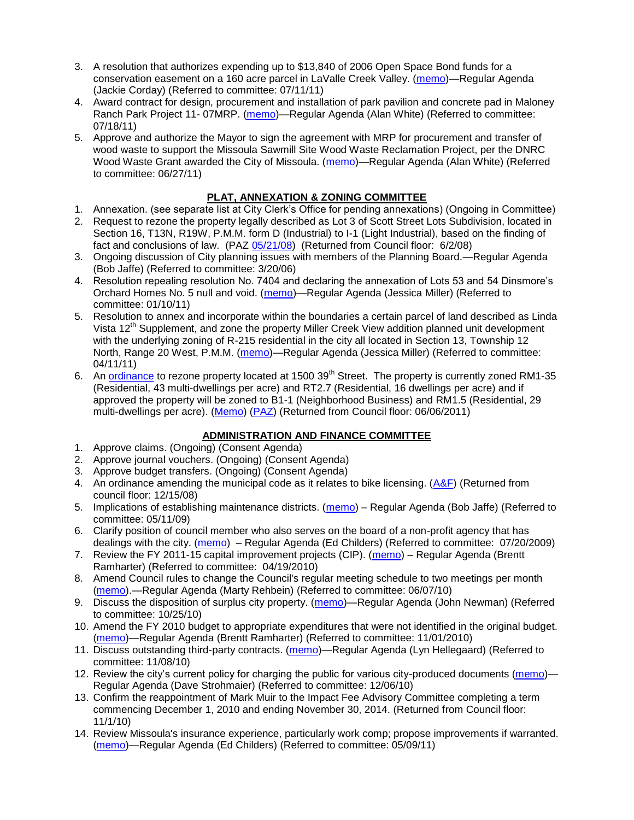- 3. A resolution that authorizes expending up to \$13,840 of 2006 Open Space Bond funds for a conservation easement on a 160 acre parcel in LaValle Creek Valley. [\(memo\)](http://www.ci.missoula.mt.us/DocumentView.aspx?DID=6797)—Regular Agenda (Jackie Corday) (Referred to committee: 07/11/11)
- 4. Award contract for design, procurement and installation of park pavilion and concrete pad in Maloney Ranch Park Project 11- 07MRP. [\(memo\)](http://www.ci.missoula.mt.us/DocumentView.aspx?DID=6859)—Regular Agenda (Alan White) (Referred to committee: 07/18/11)
- 5. Approve and authorize the Mayor to sign the agreement with MRP for procurement and transfer of wood waste to support the Missoula Sawmill Site Wood Waste Reclamation Project, per the DNRC Wood Waste Grant awarded the City of Missoula. [\(memo\)](http://www.ci.missoula.mt.us/DocumentView.aspx?DID=6682)—Regular Agenda (Alan White) (Referred to committee: 06/27/11)

### **PLAT, ANNEXATION & ZONING COMMITTEE**

- 1. Annexation. (see separate list at City Clerk's Office for pending annexations) (Ongoing in Committee)
- 2. Request to rezone the property legally described as Lot 3 of Scott Street Lots Subdivision, located in Section 16, T13N, R19W, P.M.M. form D (Industrial) to I-1 (Light Industrial), based on the finding of fact and conclusions of law. (PAZ [05/21/08\)](ftp://ftp.ci.missoula.mt.us/Packets/Council/2008/2008-06-02/080521paz.pdf) (Returned from Council floor: 6/2/08)
- 3. Ongoing discussion of City planning issues with members of the Planning Board.—Regular Agenda (Bob Jaffe) (Referred to committee: 3/20/06)
- 4. Resolution repealing resolution No. 7404 and declaring the annexation of Lots 53 and 54 Dinsmore's Orchard Homes No. 5 null and void. [\(memo\)](http://www.ci.missoula.mt.us/DocumentView.aspx?DID=5349)—Regular Agenda (Jessica Miller) (Referred to committee: 01/10/11)
- 5. Resolution to annex and incorporate within the boundaries a certain parcel of land described as Linda Vista 12<sup>th</sup> Supplement, and zone the property Miller Creek View addition planned unit development with the underlying zoning of R-215 residential in the city all located in Section 13, Township 12 North, Range 20 West, P.M.M. [\(memo\)](http://www.ci.missoula.mt.us/DocumentView.aspx?DID=5992)—Regular Agenda (Jessica Miller) (Referred to committee: 04/11/11)
- 6. An [ordinance](http://www.ci.missoula.mt.us/DocumentView.aspx?DID=6463) to rezone property located at 1500 39<sup>th</sup> Street. The property is currently zoned RM1-35 (Residential, 43 multi-dwellings per acre) and RT2.7 (Residential, 16 dwellings per acre) and if approved the property will be zoned to B1-1 (Neighborhood Business) and RM1.5 (Residential, 29 multi-dwellings per acre). [\(Memo\)](http://www.ci.missoula.mt.us/DocumentView.aspx?DID=6469) [\(PAZ\)](http://www.ci.missoula.mt.us/Archive.aspx?ADID=4010) (Returned from Council floor: 06/06/2011)

# **ADMINISTRATION AND FINANCE COMMITTEE**

- 1. Approve claims. (Ongoing) (Consent Agenda)
- 2. Approve journal vouchers. (Ongoing) (Consent Agenda)
- 3. Approve budget transfers. (Ongoing) (Consent Agenda)
- 4. An ordinance amending the municipal code as it relates to bike licensing.  $(A\&F)$  (Returned from council floor: 12/15/08)
- 5. Implications of establishing maintenance districts. [\(memo\)](ftp://ftp.ci.missoula.mt.us/Packets/Council/2009/2009-05-11/Referrals/MaintenanceDistricts.pdf) Regular Agenda (Bob Jaffe) (Referred to committee: 05/11/09)
- 6. Clarify position of council member who also serves on the board of a non-profit agency that has dealings with the city. [\(memo\)](http://www.ci.missoula.mt.us/DocumentView.aspx?DID=1840) – Regular Agenda (Ed Childers) (Referred to committee: 07/20/2009)
- 7. Review the FY 2011-15 capital improvement projects (CIP). [\(memo\)](http://www.ci.missoula.mt.us/DocumentView.aspx?DID=3522) Regular Agenda (Brentt Ramharter) (Referred to committee: 04/19/2010)
- 8. Amend Council rules to change the Council's regular meeting schedule to two meetings per month [\(memo\)](http://www.ci.missoula.mt.us/DocumentView.aspx?DID=4027).—Regular Agenda (Marty Rehbein) (Referred to committee: 06/07/10)
- 9. Discuss the disposition of surplus city property. [\(memo\)](http://www.ci.missoula.mt.us/DocumentView.aspx?DID=4862)—Regular Agenda (John Newman) (Referred to committee: 10/25/10)
- 10. Amend the FY 2010 budget to appropriate expenditures that were not identified in the original budget. [\(memo\)](http://www.ci.missoula.mt.us/DocumentView.aspx?DID=4883)—Regular Agenda (Brentt Ramharter) (Referred to committee: 11/01/2010)
- 11. Discuss outstanding third-party contracts. [\(memo\)](http://www.ci.missoula.mt.us/DocumentView.aspx?DID=4956)—Regular Agenda (Lyn Hellegaard) (Referred to committee: 11/08/10)
- 12. Review the city's current policy for charging the public for various city-produced documents [\(memo\)](http://www.ci.missoula.mt.us/DocumentView.aspx?DID=5143) Regular Agenda (Dave Strohmaier) (Referred to committee: 12/06/10)
- 13. Confirm the reappointment of Mark Muir to the Impact Fee Advisory Committee completing a term commencing December 1, 2010 and ending November 30, 2014. (Returned from Council floor: 11/1/10)
- 14. Review Missoula's insurance experience, particularly work comp; propose improvements if warranted. [\(memo\)](http://www.ci.missoula.mt.us/DocumentView.aspx?DID=6381)—Regular Agenda (Ed Childers) (Referred to committee: 05/09/11)